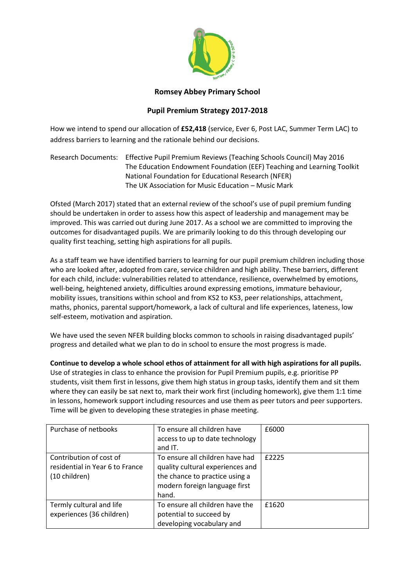

## **Romsey Abbey Primary School**

## **Pupil Premium Strategy 2017-2018**

How we intend to spend our allocation of **£52,418** (service, Ever 6, Post LAC, Summer Term LAC) to address barriers to learning and the rationale behind our decisions.

Research Documents: Effective Pupil Premium Reviews (Teaching Schools Council) May 2016 The Education Endowment Foundation (EEF) Teaching and Learning Toolkit National Foundation for Educational Research (NFER) The UK Association for Music Education – Music Mark

Ofsted (March 2017) stated that an external review of the school's use of pupil premium funding should be undertaken in order to assess how this aspect of leadership and management may be improved. This was carried out during June 2017. As a school we are committed to improving the outcomes for disadvantaged pupils. We are primarily looking to do this through developing our quality first teaching, setting high aspirations for all pupils.

As a staff team we have identified barriers to learning for our pupil premium children including those who are looked after, adopted from care, service children and high ability. These barriers, different for each child, include: vulnerabilities related to attendance, resilience, overwhelmed by emotions, well-being, heightened anxiety, difficulties around expressing emotions, immature behaviour, mobility issues, transitions within school and from KS2 to KS3, peer relationships, attachment, maths, phonics, parental support/homework, a lack of cultural and life experiences, lateness, low self-esteem, motivation and aspiration.

We have used the seven NFER building blocks common to schools in raising disadvantaged pupils' progress and detailed what we plan to do in school to ensure the most progress is made.

**Continue to develop a whole school ethos of attainment for all with high aspirations for all pupils.** Use of strategies in class to enhance the provision for Pupil Premium pupils, e.g. prioritise PP students, visit them first in lessons, give them high status in group tasks, identify them and sit them where they can easily be sat next to, mark their work first (including homework), give them 1:1 time in lessons, homework support including resources and use them as peer tutors and peer supporters. Time will be given to developing these strategies in phase meeting.

| Purchase of netbooks                                                        | To ensure all children have<br>access to up to date technology<br>and IT.                                                                       | £6000 |
|-----------------------------------------------------------------------------|-------------------------------------------------------------------------------------------------------------------------------------------------|-------|
| Contribution of cost of<br>residential in Year 6 to France<br>(10 children) | To ensure all children have had<br>quality cultural experiences and<br>the chance to practice using a<br>modern foreign language first<br>hand. | £2225 |
| Termly cultural and life<br>experiences (36 children)                       | To ensure all children have the<br>potential to succeed by<br>developing vocabulary and                                                         | £1620 |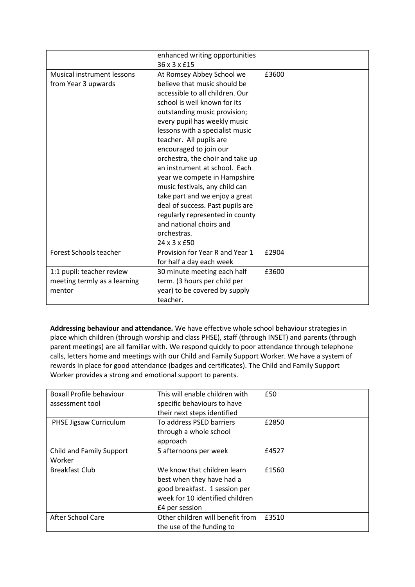|                                                                     | enhanced writing opportunities<br>36 x 3 x £15                                                                                                                                                                                                                                                                                                                                                                                                                                                                                                                                                 |       |
|---------------------------------------------------------------------|------------------------------------------------------------------------------------------------------------------------------------------------------------------------------------------------------------------------------------------------------------------------------------------------------------------------------------------------------------------------------------------------------------------------------------------------------------------------------------------------------------------------------------------------------------------------------------------------|-------|
| <b>Musical instrument lessons</b><br>from Year 3 upwards            | At Romsey Abbey School we<br>believe that music should be<br>accessible to all children. Our<br>school is well known for its<br>outstanding music provision;<br>every pupil has weekly music<br>lessons with a specialist music<br>teacher. All pupils are<br>encouraged to join our<br>orchestra, the choir and take up<br>an instrument at school. Each<br>year we compete in Hampshire<br>music festivals, any child can<br>take part and we enjoy a great<br>deal of success. Past pupils are<br>regularly represented in county<br>and national choirs and<br>orchestras.<br>24 x 3 x £50 | £3600 |
| Forest Schools teacher                                              | Provision for Year R and Year 1<br>for half a day each week                                                                                                                                                                                                                                                                                                                                                                                                                                                                                                                                    | £2904 |
| 1:1 pupil: teacher review<br>meeting termly as a learning<br>mentor | 30 minute meeting each half<br>term. (3 hours per child per<br>year) to be covered by supply<br>teacher.                                                                                                                                                                                                                                                                                                                                                                                                                                                                                       | £3600 |

**Addressing behaviour and attendance.** We have effective whole school behaviour strategies in place which children (through worship and class PHSE), staff (through INSET) and parents (through parent meetings) are all familiar with. We respond quickly to poor attendance through telephone calls, letters home and meetings with our Child and Family Support Worker. We have a system of rewards in place for good attendance (badges and certificates). The Child and Family Support Worker provides a strong and emotional support to parents.

| <b>Boxall Profile behaviour</b> | This will enable children with   | £50   |
|---------------------------------|----------------------------------|-------|
| assessment tool                 | specific behaviours to have      |       |
|                                 | their next steps identified      |       |
| PHSE Jigsaw Curriculum          | To address PSED barriers         | £2850 |
|                                 | through a whole school           |       |
|                                 | approach                         |       |
| Child and Family Support        | 5 afternoons per week            | £4527 |
| Worker                          |                                  |       |
| <b>Breakfast Club</b>           | We know that children learn      | £1560 |
|                                 | best when they have had a        |       |
|                                 | good breakfast. 1 session per    |       |
|                                 | week for 10 identified children  |       |
|                                 | £4 per session                   |       |
| After School Care               | Other children will benefit from | £3510 |
|                                 | the use of the funding to        |       |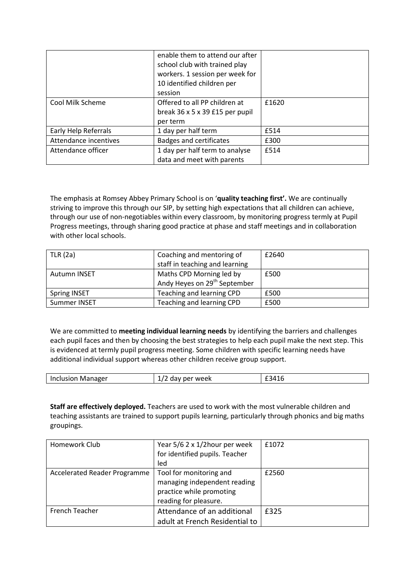|                       | enable them to attend our after<br>school club with trained play<br>workers. 1 session per week for<br>10 identified children per<br>session |       |
|-----------------------|----------------------------------------------------------------------------------------------------------------------------------------------|-------|
| Cool Milk Scheme      | Offered to all PP children at                                                                                                                | £1620 |
|                       | break $36 \times 5 \times 39$ £15 per pupil                                                                                                  |       |
|                       | per term                                                                                                                                     |       |
| Early Help Referrals  | 1 day per half term                                                                                                                          | £514  |
| Attendance incentives | <b>Badges and certificates</b>                                                                                                               | £300  |
| Attendance officer    | 1 day per half term to analyse                                                                                                               | £514  |
|                       | data and meet with parents                                                                                                                   |       |

The emphasis at Romsey Abbey Primary School is on '**quality teaching first'.** We are continually striving to improve this through our SIP, by setting high expectations that all children can achieve, through our use of non-negotiables within every classroom, by monitoring progress termly at Pupil Progress meetings, through sharing good practice at phase and staff meetings and in collaboration with other local schools.

| $\vert$ TLR (2a)    | Coaching and mentoring of<br>staff in teaching and learning          | £2640 |
|---------------------|----------------------------------------------------------------------|-------|
| Autumn INSET        | Maths CPD Morning led by<br>Andy Heyes on 29 <sup>th</sup> September | £500  |
| <b>Spring INSET</b> | Teaching and learning CPD                                            | £500  |
| Summer INSET        | Teaching and learning CPD                                            | £500  |

We are committed to **meeting individual learning needs** by identifying the barriers and challenges each pupil faces and then by choosing the best strategies to help each pupil make the next step. This is evidenced at termly pupil progress meeting. Some children with specific learning needs have additional individual support whereas other children receive group support.

| Inclusion<br>Manager | week<br>. ner<br>. av r | -<br>- 71<br>71<br>$\sim$ |
|----------------------|-------------------------|---------------------------|
|                      |                         |                           |

**Staff are effectively deployed.** Teachers are used to work with the most vulnerable children and teaching assistants are trained to support pupils learning, particularly through phonics and big maths groupings.

| Homework Club                | Year 5/6 2 x 1/2 hour per week | f1072 |
|------------------------------|--------------------------------|-------|
|                              | for identified pupils. Teacher |       |
|                              | led                            |       |
| Accelerated Reader Programme | Tool for monitoring and        | £2560 |
|                              | managing independent reading   |       |
|                              | practice while promoting       |       |
|                              | reading for pleasure.          |       |
| <b>French Teacher</b>        | Attendance of an additional    | £325  |
|                              | adult at French Residential to |       |